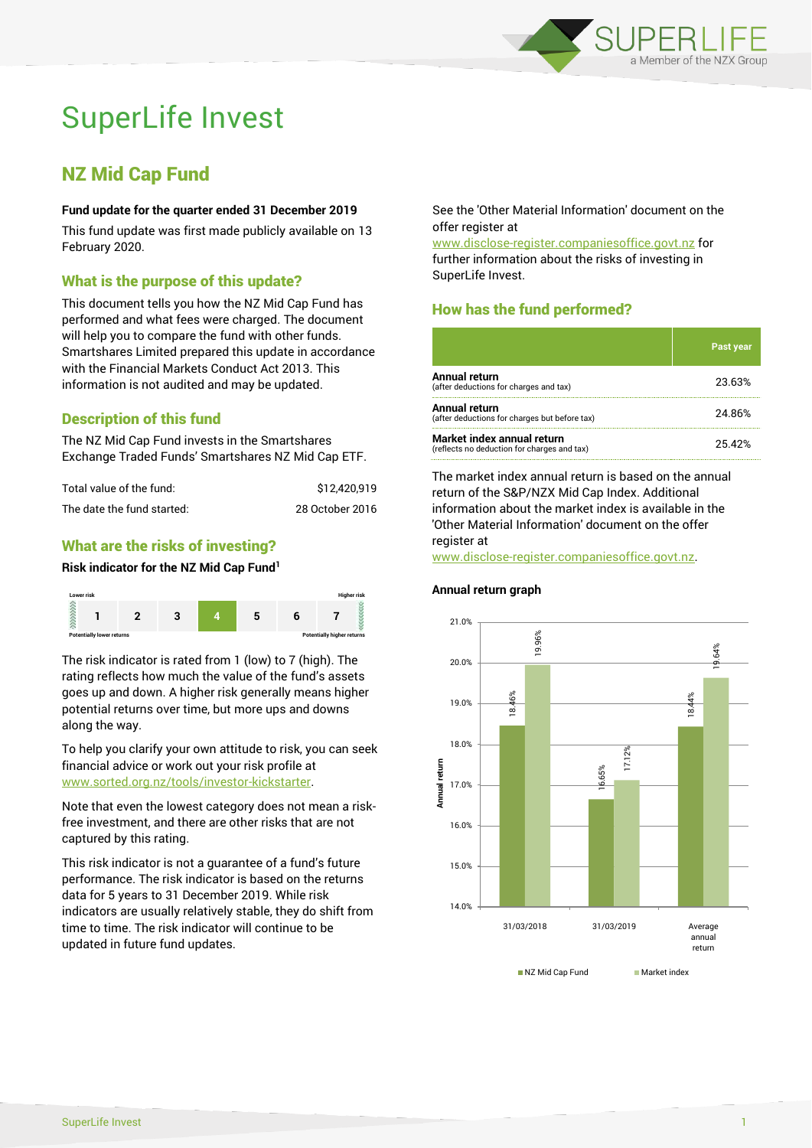

# SuperLife Invest

## NZ Mid Cap Fund

#### **Fund update for the quarter ended 31 December 2019**

This fund update was first made publicly available on 13 February 2020.

#### What is the purpose of this update?

This document tells you how the NZ Mid Cap Fund has performed and what fees were charged. The document will help you to compare the fund with other funds. Smartshares Limited prepared this update in accordance with the Financial Markets Conduct Act 2013. This information is not audited and may be updated.

#### Description of this fund

The NZ Mid Cap Fund invests in the Smartshares Exchange Traded Funds' Smartshares NZ Mid Cap ETF.

| Total value of the fund:   | \$12,420.919    |
|----------------------------|-----------------|
| The date the fund started: | 28 October 2016 |

#### What are the risks of investing?

#### **Risk indicator for the NZ Mid Cap Fund<sup>1</sup>**



The risk indicator is rated from 1 (low) to 7 (high). The rating reflects how much the value of the fund's assets goes up and down. A higher risk generally means higher potential returns over time, but more ups and downs along the way.

To help you clarify your own attitude to risk, you can seek financial advice or work out your risk profile at [www.sorted.org.nz/tools/investor-kickstarter.](http://www.sorted.org.nz/tools/investor-kickstarter)

Note that even the lowest category does not mean a riskfree investment, and there are other risks that are not captured by this rating.

This risk indicator is not a guarantee of a fund's future performance. The risk indicator is based on the returns data for 5 years to 31 December 2019. While risk indicators are usually relatively stable, they do shift from time to time. The risk indicator will continue to be updated in future fund updates.

See the 'Other Material Information' document on the offer register at

www.disclose-register.companiesoffice.govt.nz for further information about the risks of investing in SuperLife Invest.

### How has the fund performed?

|                                                                           | <b>Past year</b> |
|---------------------------------------------------------------------------|------------------|
| Annual return<br>(after deductions for charges and tax)                   | 23.63%           |
| Annual return<br>(after deductions for charges but before tax)            | 24.86%           |
| Market index annual return<br>(reflects no deduction for charges and tax) | 25.42%           |

The market index annual return is based on the annual return of the S&P/NZX Mid Cap Index. Additional information about the market index is available in the 'Other Material Information' document on the offer register at

www.disclose-register.companiesoffice.govt.nz.

#### **Annual return graph**



NZ Mid Can Fund Market index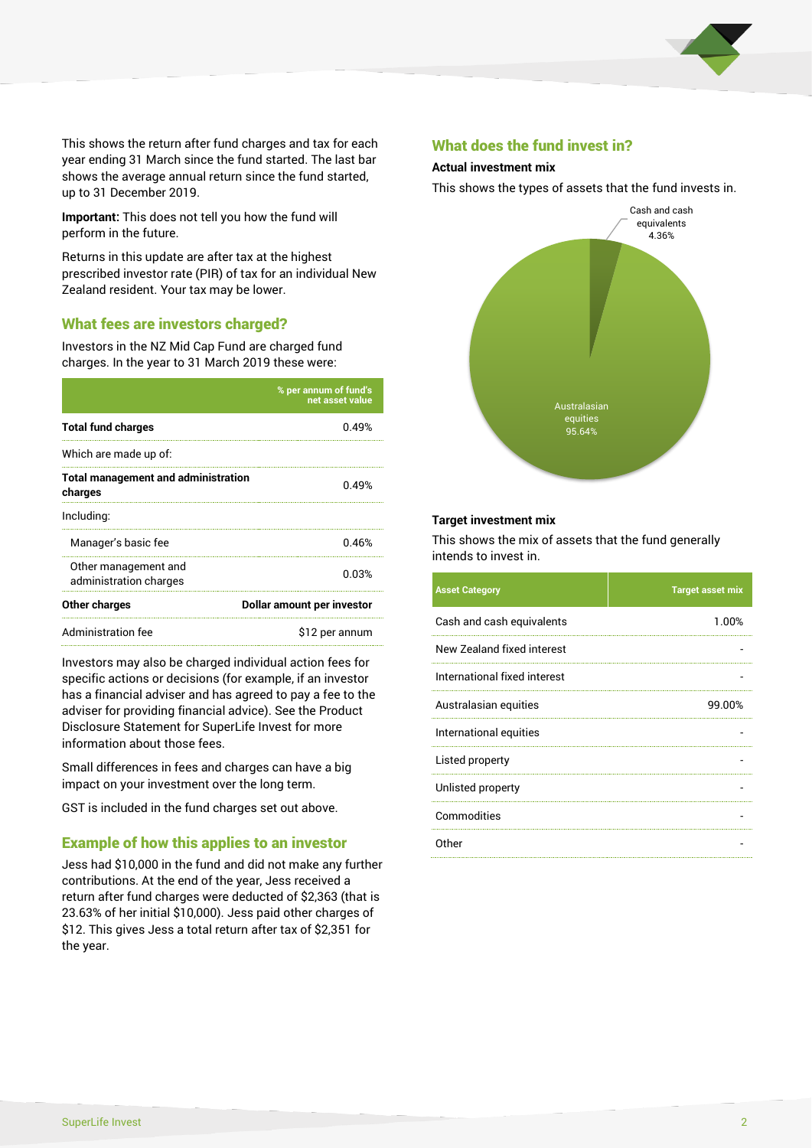

This shows the return after fund charges and tax for each year ending 31 March since the fund started. The last bar shows the average annual return since the fund started, up to 31 December 2019.

**Important:** This does not tell you how the fund will perform in the future.

Returns in this update are after tax at the highest prescribed investor rate (PIR) of tax for an individual New Zealand resident. Your tax may be lower.

#### What fees are investors charged?

Investors in the NZ Mid Cap Fund are charged fund charges. In the year to 31 March 2019 these were:

|                                                       | % per annum of fund's<br>net asset value |  |
|-------------------------------------------------------|------------------------------------------|--|
| <b>Total fund charges</b>                             | በ 49%                                    |  |
| Which are made up of:                                 |                                          |  |
| <b>Total management and administration</b><br>charges | 0.49%                                    |  |
| Including:                                            |                                          |  |
| Manager's basic fee                                   | 0.46%                                    |  |
| Other management and<br>administration charges        | 0.03%                                    |  |
| Other charges                                         | Dollar amount per investor               |  |
| Administration fee                                    | \$12 per annum                           |  |

Investors may also be charged individual action fees for specific actions or decisions (for example, if an investor has a financial adviser and has agreed to pay a fee to the adviser for providing financial advice). See the Product Disclosure Statement for SuperLife Invest for more information about those fees.

Small differences in fees and charges can have a big impact on your investment over the long term.

GST is included in the fund charges set out above.

#### Example of how this applies to an investor

Jess had \$10,000 in the fund and did not make any further contributions. At the end of the year, Jess received a return after fund charges were deducted of \$2,363 (that is 23.63% of her initial \$10,000). Jess paid other charges of \$12. This gives Jess a total return after tax of \$2,351 for the year.

#### What does the fund invest in?

#### **Actual investment mix**

This shows the types of assets that the fund invests in.



#### **Target investment mix**

This shows the mix of assets that the fund generally intends to invest in.

| <b>Asset Category</b>        | <b>Target asset mix</b> |
|------------------------------|-------------------------|
| Cash and cash equivalents    | 1.00%                   |
| New Zealand fixed interest   |                         |
| International fixed interest |                         |
| Australasian equities        | 99.00%                  |
| International equities       |                         |
| Listed property              |                         |
| Unlisted property            |                         |
| Commodities                  |                         |
| Other                        |                         |